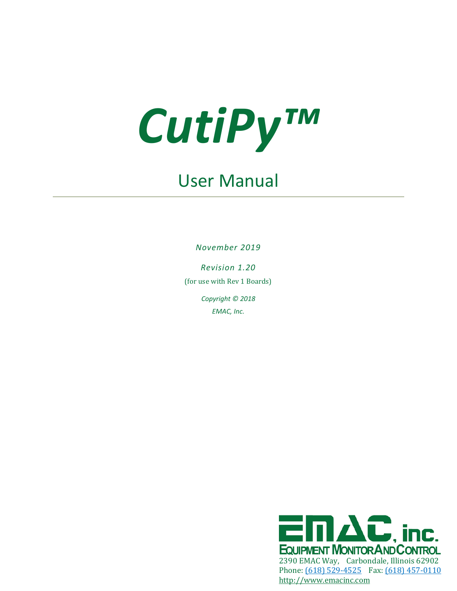

# User Manual

*November 2019*

*Revision 1.20* (for use with Rev 1 Boards) *Copyright © 2018 EMAC, Inc.*

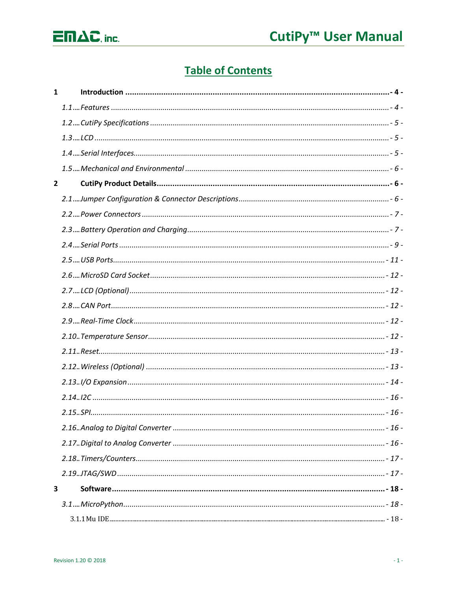

## **Table of Contents**

| $\mathbf{1}$   |  |
|----------------|--|
|                |  |
|                |  |
|                |  |
|                |  |
|                |  |
| $\overline{2}$ |  |
|                |  |
|                |  |
|                |  |
|                |  |
|                |  |
|                |  |
|                |  |
|                |  |
|                |  |
|                |  |
|                |  |
|                |  |
|                |  |
|                |  |
|                |  |
|                |  |
|                |  |
|                |  |
|                |  |
| 3              |  |
|                |  |
|                |  |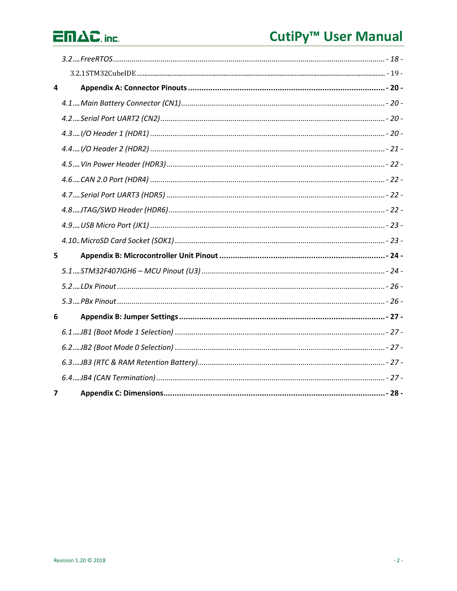# $\overline{\Box} \Pi \Delta C$ , inc.

# CutiPy<sup>™</sup> User Manual

| $\overline{\mathbf{4}}$ |  |
|-------------------------|--|
|                         |  |
|                         |  |
|                         |  |
|                         |  |
|                         |  |
|                         |  |
|                         |  |
|                         |  |
|                         |  |
|                         |  |
| 5                       |  |
|                         |  |
|                         |  |
|                         |  |
| 6                       |  |
|                         |  |
|                         |  |
|                         |  |
|                         |  |
| 7                       |  |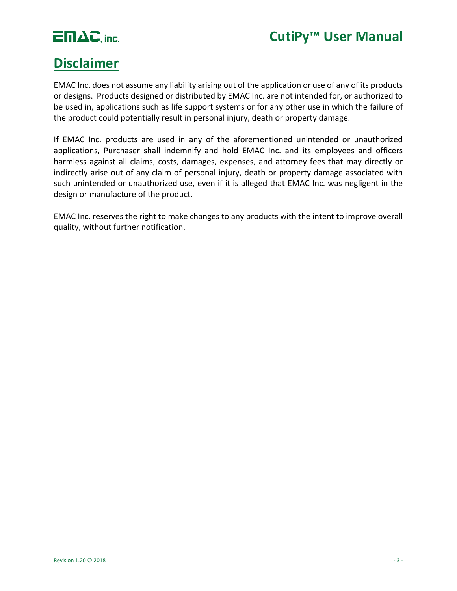

## **Disclaimer**

EMAC Inc. does not assume any liability arising out of the application or use of any of its products or designs. Products designed or distributed by EMAC Inc. are not intended for, or authorized to be used in, applications such as life support systems or for any other use in which the failure of the product could potentially result in personal injury, death or property damage.

If EMAC Inc. products are used in any of the aforementioned unintended or unauthorized applications, Purchaser shall indemnify and hold EMAC Inc. and its employees and officers harmless against all claims, costs, damages, expenses, and attorney fees that may directly or indirectly arise out of any claim of personal injury, death or property damage associated with such unintended or unauthorized use, even if it is alleged that EMAC Inc. was negligent in the design or manufacture of the product.

EMAC Inc. reserves the right to make changes to any products with the intent to improve overall quality, without further notification.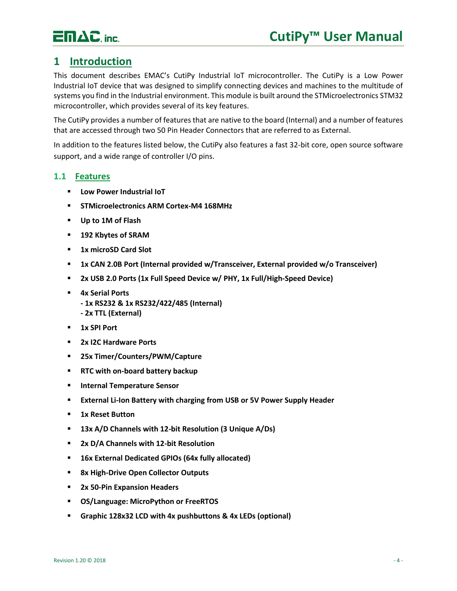

## <span id="page-4-0"></span>**1 Introduction**

This document describes EMAC's CutiPy Industrial IoT microcontroller. The CutiPy is a Low Power Industrial IoT device that was designed to simplify connecting devices and machines to the multitude of systems you find in the Industrial environment. This module is built around the STMicroelectronics STM32 microcontroller, which provides several of its key features.

The CutiPy provides a number of features that are native to the board (Internal) and a number of features that are accessed through two 50 Pin Header Connectors that are referred to as External.

In addition to the features listed below, the CutiPy also features a fast 32-bit core, open source software support, and a wide range of controller I/O pins.

#### <span id="page-4-1"></span>**1.1 Features**

- **Low Power Industrial IoT**
- **STMicroelectronics ARM Cortex-M4 168MHz**
- **Up to 1M of Flash**
- **192 Kbytes of SRAM**
- **1x microSD Card Slot**
- **1x CAN 2.0B Port (Internal provided w/Transceiver, External provided w/o Transceiver)**
- **2x USB 2.0 Ports (1x Full Speed Device w/ PHY, 1x Full/High-Speed Device)**
- **4x Serial Ports** 
	- **- 1x RS232 & 1x RS232/422/485 (Internal)**
	- **- 2x TTL (External)**
- **1x SPI Port**
- **2x I2C Hardware Ports**
- **25x Timer/Counters/PWM/Capture**
- **RTC with on-board battery backup**
- **Internal Temperature Sensor**
- **External Li-Ion Battery with charging from USB or 5V Power Supply Header**
- **1x Reset Button**
- **13x A/D Channels with 12-bit Resolution (3 Unique A/Ds)**
- **2x D/A Channels with 12-bit Resolution**
- **16x External Dedicated GPIOs (64x fully allocated)**
- **8x High-Drive Open Collector Outputs**
- **2x 50-Pin Expansion Headers**
- **OS/Language: MicroPython or FreeRTOS**
- **Graphic 128x32 LCD with 4x pushbuttons & 4x LEDs (optional)**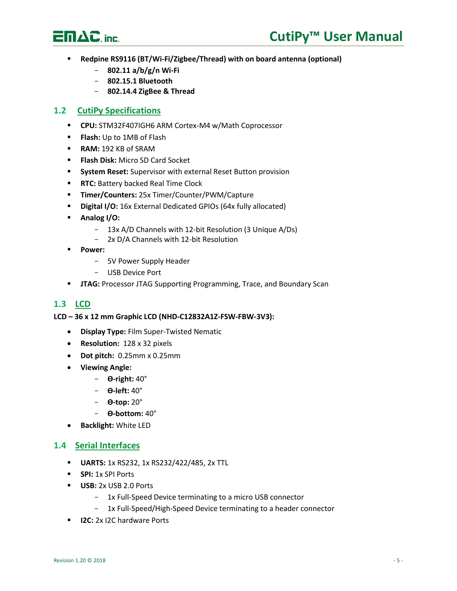

- **Redpine RS9116 (BT/Wi-Fi/Zigbee/Thread) with on board antenna (optional)**
	- **802.11 a/b/g/n Wi-Fi**
	- **802.15.1 Bluetooth**
	- **802.14.4 ZigBee & Thread**

#### <span id="page-5-0"></span>**1.2 CutiPy Specifications**

- **CPU:** STM32F407IGH6 ARM Cortex-M4 w/Math Coprocessor
- **Flash:** Up to 1MB of Flash
- **RAM:** 192 KB of SRAM
- **Flash Disk:** Micro SD Card Socket
- **System Reset:** Supervisor with external Reset Button provision
- **F RTC: Battery backed Real Time Clock**
- **Timer/Counters:** 25x Timer/Counter/PWM/Capture
- **Digital I/O:** 16x External Dedicated GPIOs (64x fully allocated)
- **Analog I/O:**
	- 13x A/D Channels with 12-bit Resolution (3 Unique A/Ds)
	- 2x D/A Channels with 12-bit Resolution
- **Power:**
	- 5V Power Supply Header
	- USB Device Port
- **JTAG:** Processor JTAG Supporting Programming, Trace, and Boundary Scan

## <span id="page-5-1"></span>**1.3 LCD**

**LCD – 36 x 12 mm Graphic LCD (NHD-C12832A1Z-FSW-FBW-3V3):**

- **Display Type:** Film Super-Twisted Nematic
- **Resolution:** 128 x 32 pixels
- **Dot pitch:** 0.25mm x 0.25mm
- **Viewing Angle:**
	- **ϴ-right:** 40°
	- **ϴ-left:** 40°
	- **ϴ-top:** 20°
	- **ϴ-bottom:** 40°
- **Backlight:** White LED

#### <span id="page-5-2"></span>**1.4 Serial Interfaces**

- **UARTS:** 1x RS232, 1x RS232/422/485, 2x TTL
- **SPI:** 1x SPI Ports
- **USB:** 2x USB 2.0 Ports
	- 1x Full-Speed Device terminating to a micro USB connector
	- 1x Full-Speed/High-Speed Device terminating to a header connector
- **E I2C:** 2x I2C hardware Ports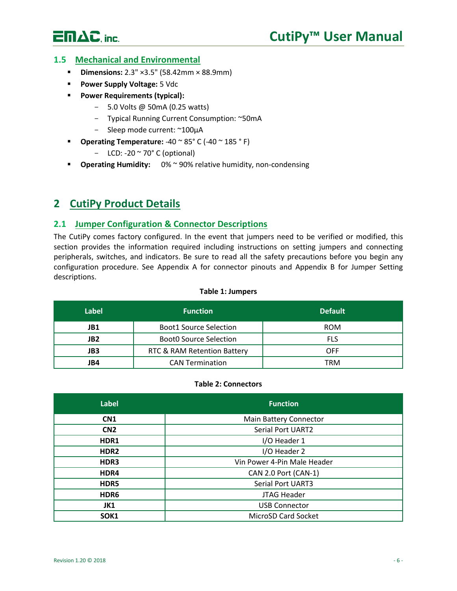# $E \Pi \Delta C$ . inc.

### <span id="page-6-0"></span>**1.5 Mechanical and Environmental**

- **Dimensions:** 2.3" ×3.5" (58.42mm × 88.9mm)
- **Power Supply Voltage:** 5 Vdc
- **Power Requirements (typical):**
	- 5.0 Volts @ 50mA (0.25 watts)
	- Typical Running Current Consumption: ~50mA
	- Sleep mode current: ~100μA
- **Operating Temperature:** -40 ~ 85° C (-40 ~ 185 ° F)
	- $-$  LCD: -20  $\sim$  70 $\degree$  C (optional)
- **Operating Humidity:** 0% ~ 90% relative humidity, non-condensing

## <span id="page-6-1"></span>**2 CutiPy Product Details**

#### <span id="page-6-2"></span>**2.1 Jumper Configuration & Connector Descriptions**

The CutiPy comes factory configured. In the event that jumpers need to be verified or modified, this section provides the information required including instructions on setting jumpers and connecting peripherals, switches, and indicators. Be sure to read all the safety precautions before you begin any configuration procedure. See Appendix A for connector pinouts and Appendix B for Jumper Setting descriptions.

| Label           | <b>Function</b>               | <b>Default</b> |  |
|-----------------|-------------------------------|----------------|--|
| JB1             | <b>Boot1 Source Selection</b> | <b>ROM</b>     |  |
| JB <sub>2</sub> | <b>BootO Source Selection</b> | <b>FLS</b>     |  |
| JB3             | RTC & RAM Retention Battery   | OFF            |  |
| JB4             | <b>CAN Termination</b>        | <b>TRM</b>     |  |

#### **Table 1: Jumpers**

#### **Table 2: Connectors**

| <b>Label</b>     | <b>Function</b>             |  |  |
|------------------|-----------------------------|--|--|
| CN <sub>1</sub>  | Main Battery Connector      |  |  |
| CN <sub>2</sub>  | <b>Serial Port UART2</b>    |  |  |
| HDR1             | I/O Header 1                |  |  |
| HDR <sub>2</sub> | I/O Header 2                |  |  |
| HDR3             | Vin Power 4-Pin Male Header |  |  |
| HDR4             | CAN 2.0 Port (CAN-1)        |  |  |
| HDR5             | Serial Port UART3           |  |  |
| HDR6             | JTAG Header                 |  |  |
| JK1              | <b>USB Connector</b>        |  |  |
| SOK1             | MicroSD Card Socket         |  |  |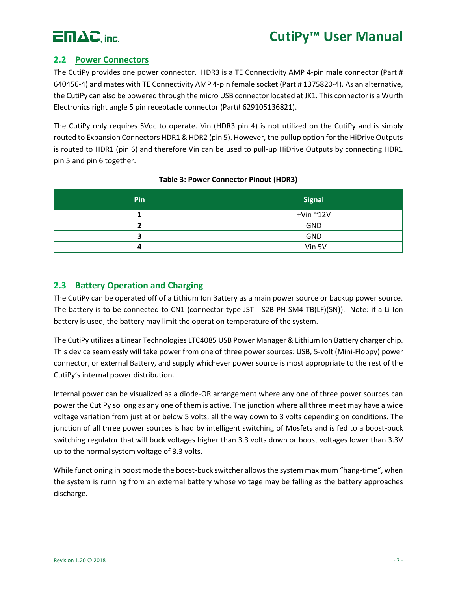

## <span id="page-7-0"></span>**2.2 Power Connectors**

The CutiPy provides one power connector. HDR3 is a TE Connectivity AMP 4-pin male connector (Part # 640456-4) and mates with TE Connectivity AMP 4-pin female socket (Part # 1375820-4). As an alternative, the CutiPy can also be powered through the micro USB connector located at JK1. This connector is a Wurth Electronics right angle 5 pin receptacle connector (Part# 629105136821).

The CutiPy only requires 5Vdc to operate. Vin (HDR3 pin 4) is not utilized on the CutiPy and is simply routed to Expansion Connectors HDR1 & HDR2 (pin 5). However, the pullup option for the HiDrive Outputs is routed to HDR1 (pin 6) and therefore Vin can be used to pull-up HiDrive Outputs by connecting HDR1 pin 5 and pin 6 together.

| <b>Pin</b> | <b>Signal</b>         |
|------------|-----------------------|
|            | $+$ Vin $^{\sim}$ 12V |
|            | <b>GND</b>            |
|            | <b>GND</b>            |
|            | $+V$ in 5 $V$         |

#### **Table 3: Power Connector Pinout (HDR3)**

## <span id="page-7-1"></span>**2.3 Battery Operation and Charging**

The CutiPy can be operated off of a Lithium Ion Battery as a main power source or backup power source. The battery is to be connected to CN1 (connector type JST - S2B-PH-SM4-TB(LF)(SN)). Note: if a Li-Ion battery is used, the battery may limit the operation temperature of the system.

The CutiPy utilizes a Linear Technologies LTC4085 USB Power Manager & Lithium Ion Battery charger chip. This device seamlessly will take power from one of three power sources: USB, 5-volt (Mini-Floppy) power connector, or external Battery, and supply whichever power source is most appropriate to the rest of the CutiPy's internal power distribution.

Internal power can be visualized as a diode-OR arrangement where any one of three power sources can power the CutiPy so long as any one of them is active. The junction where all three meet may have a wide voltage variation from just at or below 5 volts, all the way down to 3 volts depending on conditions. The junction of all three power sources is had by intelligent switching of Mosfets and is fed to a boost-buck switching regulator that will buck voltages higher than 3.3 volts down or boost voltages lower than 3.3V up to the normal system voltage of 3.3 volts.

While functioning in boost mode the boost-buck switcher allows the system maximum "hang-time", when the system is running from an external battery whose voltage may be falling as the battery approaches discharge.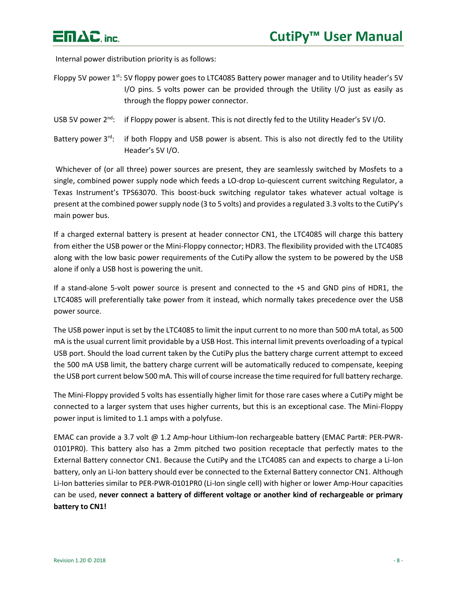

Internal power distribution priority is as follows:

- Floppy 5V power 1<sup>st</sup>: 5V floppy power goes to LTC4085 Battery power manager and to Utility header's 5V I/O pins. 5 volts power can be provided through the Utility I/O just as easily as through the floppy power connector.
- USB 5V power 2<sup>nd</sup>: if Floppy power is absent. This is not directly fed to the Utility Header's 5V I/O.
- Battery power 3<sup>rd</sup>: if both Floppy and USB power is absent. This is also not directly fed to the Utility Header's 5V I/O.

Whichever of (or all three) power sources are present, they are seamlessly switched by Mosfets to a single, combined power supply node which feeds a LO-drop Lo-quiescent current switching Regulator, a Texas Instrument's TPS63070. This boost-buck switching regulator takes whatever actual voltage is present at the combined power supply node (3 to 5 volts) and provides a regulated 3.3 volts to the CutiPy's main power bus.

If a charged external battery is present at header connector CN1, the LTC4085 will charge this battery from either the USB power or the Mini-Floppy connector; HDR3. The flexibility provided with the LTC4085 along with the low basic power requirements of the CutiPy allow the system to be powered by the USB alone if only a USB host is powering the unit.

If a stand-alone 5-volt power source is present and connected to the +5 and GND pins of HDR1, the LTC4085 will preferentially take power from it instead, which normally takes precedence over the USB power source.

The USB power input is set by the LTC4085 to limit the input current to no more than 500 mA total, as 500 mA is the usual current limit providable by a USB Host. This internal limit prevents overloading of a typical USB port. Should the load current taken by the CutiPy plus the battery charge current attempt to exceed the 500 mA USB limit, the battery charge current will be automatically reduced to compensate, keeping the USB port current below 500 mA. This will of course increase the time required for full battery recharge.

The Mini-Floppy provided 5 volts has essentially higher limit for those rare cases where a CutiPy might be connected to a larger system that uses higher currents, but this is an exceptional case. The Mini-Floppy power input is limited to 1.1 amps with a polyfuse.

EMAC can provide a 3.7 volt @ 1.2 Amp-hour Lithium-Ion rechargeable battery (EMAC Part#: PER-PWR-0101PR0). This battery also has a 2mm pitched two position receptacle that perfectly mates to the External Battery connector CN1. Because the CutiPy and the LTC4085 can and expects to charge a Li-Ion battery, only an Li-Ion battery should ever be connected to the External Battery connector CN1. Although Li-Ion batteries similar to PER-PWR-0101PR0 (Li-Ion single cell) with higher or lower Amp-Hour capacities can be used, **never connect a battery of different voltage or another kind of rechargeable or primary battery to CN1!**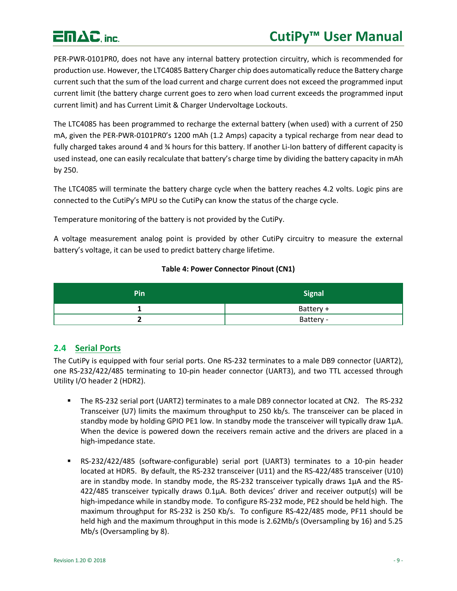## **CutiPy™ User Manual**

# $E \Pi \Delta C$ , inc.

PER-PWR-0101PR0, does not have any internal battery protection circuitry, which is recommended for production use. However, the LTC4085 Battery Charger chip does automatically reduce the Battery charge current such that the sum of the load current and charge current does not exceed the programmed input current limit (the battery charge current goes to zero when load current exceeds the programmed input current limit) and has Current Limit & Charger Undervoltage Lockouts.

The LTC4085 has been programmed to recharge the external battery (when used) with a current of 250 mA, given the PER-PWR-0101PR0's 1200 mAh (1.2 Amps) capacity a typical recharge from near dead to fully charged takes around 4 and % hours for this battery. If another Li-Ion battery of different capacity is used instead, one can easily recalculate that battery's charge time by dividing the battery capacity in mAh by 250.

The LTC4085 will terminate the battery charge cycle when the battery reaches 4.2 volts. Logic pins are connected to the CutiPy's MPU so the CutiPy can know the status of the charge cycle.

Temperature monitoring of the battery is not provided by the CutiPy.

A voltage measurement analog point is provided by other CutiPy circuitry to measure the external battery's voltage, it can be used to predict battery charge lifetime.

#### **Table 4: Power Connector Pinout (CN1)**

| Pin | <b>Signal</b> |  |  |
|-----|---------------|--|--|
|     | Battery +     |  |  |
| -   | Battery -     |  |  |

## <span id="page-9-0"></span>**2.4 Serial Ports**

The CutiPy is equipped with four serial ports. One RS-232 terminates to a male DB9 connector (UART2), one RS-232/422/485 terminating to 10-pin header connector (UART3), and two TTL accessed through Utility I/O header 2 (HDR2).

- The RS-232 serial port (UART2) terminates to a male DB9 connector located at CN2. The RS-232 Transceiver (U7) limits the maximum throughput to 250 kb/s. The transceiver can be placed in standby mode by holding GPIO PE1 low. In standby mode the transceiver will typically draw 1µA. When the device is powered down the receivers remain active and the drivers are placed in a high-impedance state.
- RS-232/422/485 (software-configurable) serial port (UART3) terminates to a 10-pin header located at HDR5. By default, the RS-232 transceiver (U11) and the RS-422/485 transceiver (U10) are in standby mode. In standby mode, the RS-232 transceiver typically draws  $1\mu A$  and the RS- $422/485$  transceiver typically draws  $0.1\mu$ A. Both devices' driver and receiver output(s) will be high-impedance while in standby mode. To configure RS-232 mode, PE2 should be held high. The maximum throughput for RS-232 is 250 Kb/s. To configure RS-422/485 mode, PF11 should be held high and the maximum throughput in this mode is 2.62Mb/s (Oversampling by 16) and 5.25 Mb/s (Oversampling by 8).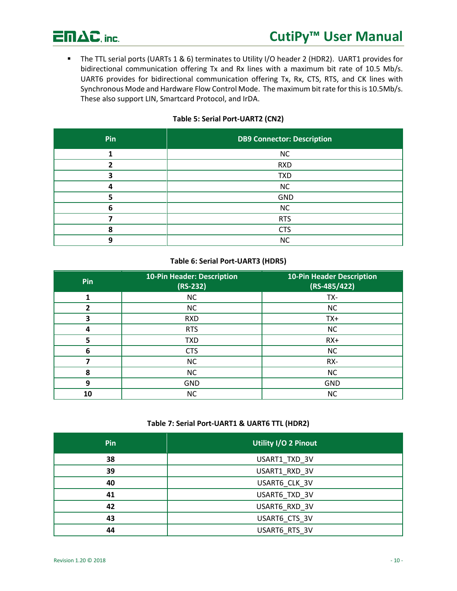

■ The TTL serial ports (UARTs 1 & 6) terminates to Utility I/O header 2 (HDR2). UART1 provides for bidirectional communication offering Tx and Rx lines with a maximum bit rate of 10.5 Mb/s. UART6 provides for bidirectional communication offering Tx, Rx, CTS, RTS, and CK lines with Synchronous Mode and Hardware Flow Control Mode. The maximum bit rate for this is 10.5Mb/s. These also support LIN, Smartcard Protocol, and IrDA.

#### **Table 5: Serial Port-UART2 (CN2)**

| Pin | <b>DB9 Connector: Description</b> |
|-----|-----------------------------------|
|     | <b>NC</b>                         |
|     | <b>RXD</b>                        |
|     | <b>TXD</b>                        |
|     | NC                                |
|     | <b>GND</b>                        |
|     | <b>NC</b>                         |
|     | <b>RTS</b>                        |
|     | <b>CTS</b>                        |
|     | <b>NC</b>                         |

#### **Table 6: Serial Port-UART3 (HDR5)**

| Pin             | <b>10-Pin Header: Description</b><br>$(RS-232)$ | <b>10-Pin Header Description</b><br>$(RS-485/422)$ |  |  |
|-----------------|-------------------------------------------------|----------------------------------------------------|--|--|
| 1               | <b>NC</b>                                       | TX-                                                |  |  |
| 2               | <b>NC</b>                                       | <b>NC</b>                                          |  |  |
| 3<br><b>RXD</b> |                                                 | $TX+$                                              |  |  |
| 4               | <b>RTS</b>                                      | <b>NC</b>                                          |  |  |
| 5               | <b>TXD</b>                                      | $RX+$                                              |  |  |
| 6               | <b>CTS</b>                                      | <b>NC</b>                                          |  |  |
| 7               | <b>NC</b>                                       | RX-                                                |  |  |
| 8               | <b>NC</b>                                       | <b>NC</b>                                          |  |  |
| 9<br><b>GND</b> |                                                 | <b>GND</b>                                         |  |  |
| 10              | <b>NC</b>                                       | <b>NC</b>                                          |  |  |

#### **Table 7: Serial Port-UART1 & UART6 TTL (HDR2)**

| Pin | <b>Utility I/O 2 Pinout</b> |
|-----|-----------------------------|
| 38  | USART1_TXD_3V               |
| 39  | USART1_RXD_3V               |
| 40  | USART6_CLK_3V               |
| 41  | USART6 TXD 3V               |
| 42  | USART6 RXD 3V               |
| 43  | USART6_CTS_3V               |
| 44  | USART6 RTS 3V               |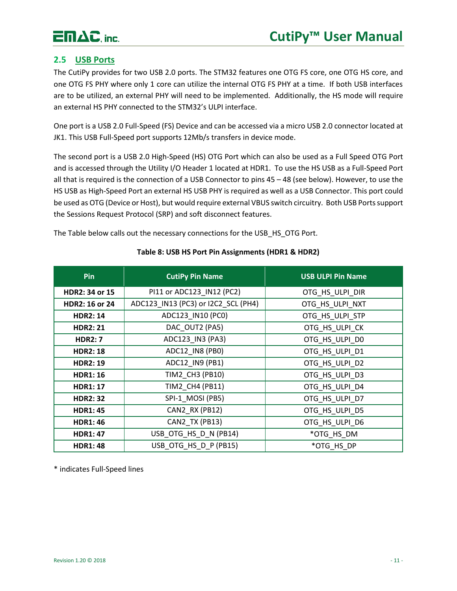# $E \mathsf{m}\Delta C$ , inc.

## <span id="page-11-0"></span>**2.5 USB Ports**

The CutiPy provides for two USB 2.0 ports. The STM32 features one OTG FS core, one OTG HS core, and one OTG FS PHY where only 1 core can utilize the internal OTG FS PHY at a time. If both USB interfaces are to be utilized, an external PHY will need to be implemented. Additionally, the HS mode will require an external HS PHY connected to the STM32's ULPI interface.

One port is a USB 2.0 Full-Speed (FS) Device and can be accessed via a micro USB 2.0 connector located at JK1. This USB Full-Speed port supports 12Mb/s transfers in device mode.

The second port is a USB 2.0 High-Speed (HS) OTG Port which can also be used as a Full Speed OTG Port and is accessed through the Utility I/O Header 1 located at HDR1. To use the HS USB as a Full-Speed Port all that is required is the connection of a USB Connector to pins 45 – 48 (see below). However, to use the HS USB as High-Speed Port an external HS USB PHY is required as well as a USB Connector. This port could be used as OTG (Device or Host), but would require external VBUS switch circuitry. Both USB Ports support the Sessions Request Protocol (SRP) and soft disconnect features.

The Table below calls out the necessary connections for the USB\_HS\_OTG Port.

| <b>Pin</b>                               | <b>CutiPy Pin Name</b>              | <b>USB ULPI Pin Name</b> |  |
|------------------------------------------|-------------------------------------|--------------------------|--|
| HDR2: 34 or 15                           | PI11 or ADC123_IN12 (PC2)           | OTG_HS_ULPI_DIR          |  |
| <b>HDR2: 16 or 24</b>                    | ADC123_IN13 (PC3) or I2C2_SCL (PH4) | OTG_HS_ULPI_NXT          |  |
| ADC123 IN10 (PC0)<br><b>HDR2: 14</b>     |                                     | OTG_HS_ULPI_STP          |  |
| DAC OUT2 (PA5)<br><b>HDR2: 21</b>        |                                     | OTG_HS_ULPI_CK           |  |
| <b>HDR2: 7</b>                           | ADC123_IN3 (PA3)                    | OTG_HS_ULPI_D0           |  |
| <b>HDR2: 18</b>                          | ADC12_IN8 (PB0)                     | OTG_HS_ULPI_D1           |  |
| <b>HDR2: 19</b>                          | ADC12_IN9 (PB1)                     | OTG_HS_ULPI_D2           |  |
| <b>HDR1: 16</b>                          | TIM2_CH3 (PB10)                     | OTG_HS_ULPI_D3           |  |
| <b>HDR1: 17</b>                          | TIM2 CH4 (PB11)                     | OTG_HS_ULPI_D4           |  |
| <b>HDR2: 32</b>                          | SPI-1 MOSI (PB5)                    | OTG_HS_ULPI_D7           |  |
| <b>HDR1: 45</b>                          | CAN2 RX (PB12)                      | OTG_HS_ULPI_D5           |  |
| <b>HDR1: 46</b>                          | CAN2 TX (PB13)                      | OTG HS ULPI D6           |  |
| USB_OTG_HS_D_N (PB14)<br><b>HDR1: 47</b> |                                     | *OTG_HS_DM               |  |
| <b>HDR1: 48</b>                          | USB_OTG_HS_D_P (PB15)               | *OTG HS DP               |  |

#### **Table 8: USB HS Port Pin Assignments (HDR1 & HDR2)**

\* indicates Full-Speed lines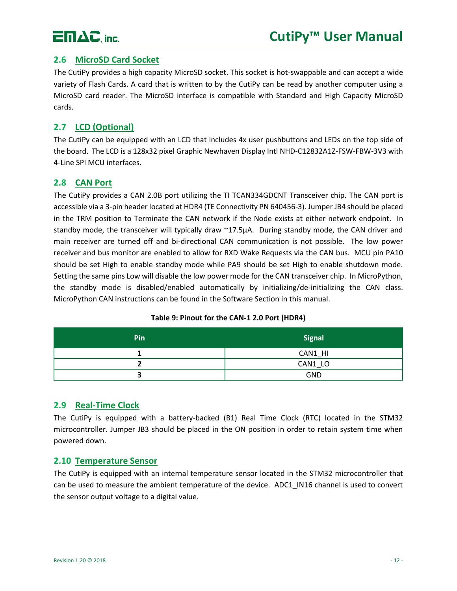

### <span id="page-12-0"></span>**2.6 MicroSD Card Socket**

The CutiPy provides a high capacity MicroSD socket. This socket is hot-swappable and can accept a wide variety of Flash Cards. A card that is written to by the CutiPy can be read by another computer using a MicroSD card reader. The MicroSD interface is compatible with Standard and High Capacity MicroSD cards.

### <span id="page-12-1"></span>**2.7 LCD (Optional)**

The CutiPy can be equipped with an LCD that includes 4x user pushbuttons and LEDs on the top side of the board. The LCD is a 128x32 pixel Graphic Newhaven Display Intl NHD-C12832A1Z-FSW-FBW-3V3 with 4-Line SPI MCU interfaces.

#### <span id="page-12-2"></span>**2.8 CAN Port**

The CutiPy provides a CAN 2.0B port utilizing the TI TCAN334GDCNT Transceiver chip. The CAN port is accessible via a 3-pin header located at HDR4 (TE Connectivity PN 640456-3). Jumper JB4 should be placed in the TRM position to Terminate the CAN network if the Node exists at either network endpoint. In standby mode, the transceiver will typically draw ~17.5μA. During standby mode, the CAN driver and main receiver are turned off and bi-directional CAN communication is not possible. The low power receiver and bus monitor are enabled to allow for RXD Wake Requests via the CAN bus. MCU pin PA10 should be set High to enable standby mode while PA9 should be set High to enable shutdown mode. Setting the same pins Low will disable the low power mode for the CAN transceiver chip. In MicroPython, the standby mode is disabled/enabled automatically by initializing/de-initializing the CAN class. MicroPython CAN instructions can be found in the Software Section in this manual.

| Pin | <b>Signal</b> |  |  |
|-----|---------------|--|--|
|     | CAN1_HI       |  |  |
|     | CAN1 LO       |  |  |
|     | GND           |  |  |

#### **Table 9: Pinout for the CAN-1 2.0 Port (HDR4)**

#### <span id="page-12-3"></span>**2.9 Real-Time Clock**

The CutiPy is equipped with a battery-backed (B1) Real Time Clock (RTC) located in the STM32 microcontroller. Jumper JB3 should be placed in the ON position in order to retain system time when powered down.

#### <span id="page-12-4"></span>**2.10 Temperature Sensor**

The CutiPy is equipped with an internal temperature sensor located in the STM32 microcontroller that can be used to measure the ambient temperature of the device. ADC1 IN16 channel is used to convert the sensor output voltage to a digital value.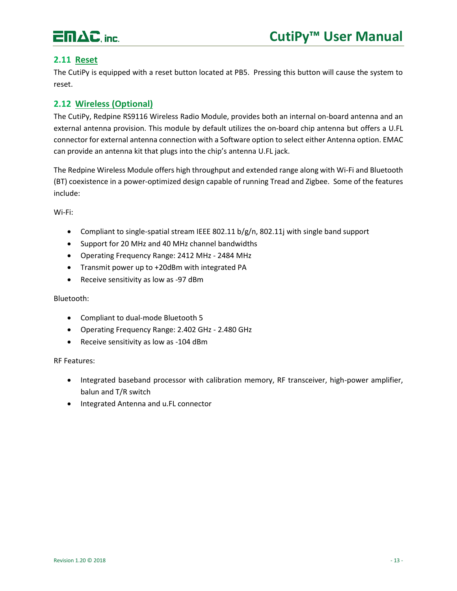

### <span id="page-13-0"></span>**2.11 Reset**

The CutiPy is equipped with a reset button located at PB5. Pressing this button will cause the system to reset.

### <span id="page-13-1"></span>**2.12 Wireless (Optional)**

The CutiPy, Redpine RS9116 Wireless Radio Module, provides both an internal on-board antenna and an external antenna provision. This module by default utilizes the on-board chip antenna but offers a U.FL connector for external antenna connection with a Software option to select either Antenna option. EMAC can provide an antenna kit that plugs into the chip's antenna U.FL jack.

The Redpine Wireless Module offers high throughput and extended range along with Wi-Fi and Bluetooth (BT) coexistence in a power-optimized design capable of running Tread and Zigbee. Some of the features include:

Wi-Fi:

- Compliant to single-spatial stream IEEE 802.11 b/g/n, 802.11j with single band support
- Support for 20 MHz and 40 MHz channel bandwidths
- Operating Frequency Range: 2412 MHz 2484 MHz
- Transmit power up to +20dBm with integrated PA
- Receive sensitivity as low as -97 dBm

#### Bluetooth:

- Compliant to dual-mode Bluetooth 5
- Operating Frequency Range: 2.402 GHz 2.480 GHz
- Receive sensitivity as low as -104 dBm

#### RF Features:

- Integrated baseband processor with calibration memory, RF transceiver, high-power amplifier, balun and T/R switch
- Integrated Antenna and u.FL connector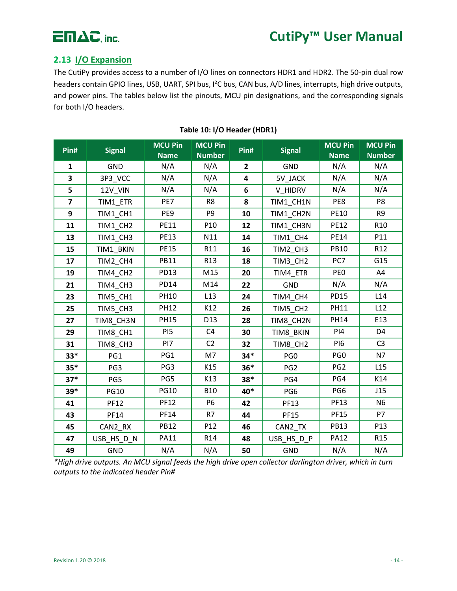

## <span id="page-14-0"></span>**2.13 I/O Expansion**

The CutiPy provides access to a number of I/O lines on connectors HDR1 and HDR2. The 50-pin dual row headers contain GPIO lines, USB, UART, SPI bus, I²C bus, CAN bus, A/D lines, interrupts, high drive outputs, and power pins. The tables below list the pinouts, MCU pin designations, and the corresponding signals for both I/O headers.

| Pin#           | <b>Signal</b> | <b>MCU Pin</b><br><b>Name</b> | <b>MCU Pin</b><br><b>Number</b> | Pin#           | <b>Signal</b>   | <b>MCU Pin</b><br><b>Name</b> | <b>MCU Pin</b><br><b>Number</b> |
|----------------|---------------|-------------------------------|---------------------------------|----------------|-----------------|-------------------------------|---------------------------------|
| $\mathbf{1}$   | <b>GND</b>    | N/A                           | N/A                             | $\overline{2}$ | <b>GND</b>      | N/A                           | N/A                             |
| 3              |               | N/A                           | N/A                             | 4              |                 | N/A                           | N/A                             |
|                | 3P3_VCC       |                               |                                 |                | 5V_JACK         |                               |                                 |
| 5              | 12V_VIN       | N/A                           | N/A                             | 6              | V HIDRV         | N/A                           | N/A                             |
| $\overline{7}$ | TIM1_ETR      | PE7                           | R <sub>8</sub>                  | 8              | TIM1_CH1N       | PE8                           | P8                              |
| 9              | TIM1_CH1      | PE9                           | P <sub>9</sub>                  | 10             | TIM1_CH2N       | <b>PE10</b>                   | R <sub>9</sub>                  |
| 11             | TIM1_CH2      | <b>PE11</b>                   | P <sub>10</sub>                 | 12             | TIM1 CH3N       | <b>PE12</b>                   | R <sub>10</sub>                 |
| 13             | TIM1_CH3      | <b>PE13</b>                   | N11                             | 14             | TIM1_CH4        | <b>PE14</b>                   | P11                             |
| 15             | TIM1_BKIN     | <b>PE15</b>                   | R11                             | 16             | TIM2_CH3        | <b>PB10</b>                   | R <sub>12</sub>                 |
| 17             | TIM2_CH4      | <b>PB11</b>                   | R <sub>13</sub>                 | 18             | TIM3_CH2        | PC7                           | G15                             |
| 19             | TIM4_CH2      | <b>PD13</b>                   | M15                             | 20             | TIM4_ETR        | PE <sub>0</sub>               | A4                              |
| 21             | TIM4_CH3      | <b>PD14</b>                   | M14                             | 22             | <b>GND</b>      | N/A                           | N/A                             |
| 23             | TIM5_CH1      | <b>PH10</b>                   | L13                             | 24             | TIM4_CH4        | <b>PD15</b>                   | L14                             |
| 25             | TIM5 CH3      | <b>PH12</b>                   | K12                             | 26             | TIM5 CH2        | <b>PH11</b>                   | L12                             |
| 27             | TIM8_CH3N     | <b>PH15</b>                   | D <sub>13</sub>                 | 28             | TIM8_CH2N       | <b>PH14</b>                   | E13                             |
| 29             | TIM8_CH1      | PI <sub>5</sub>               | C4                              | 30             | TIM8_BKIN       | PI4                           | D <sub>4</sub>                  |
| 31             | TIM8_CH3      | PI7                           | C <sub>2</sub>                  | 32             | TIM8 CH2        | PI6                           | C <sub>3</sub>                  |
| $33*$          | PG1           | PG1                           | M7                              | $34*$          | PG <sub>0</sub> | PG <sub>0</sub>               | N7                              |
| $35*$          | PG3           | PG3                           | K15                             | $36*$          | PG <sub>2</sub> | PG <sub>2</sub>               | L <sub>15</sub>                 |
| $37*$          | PG5           | PG5                           | K13                             | 38*            | PG4             | PG4                           | K14                             |
| $39*$          | <b>PG10</b>   | <b>PG10</b>                   | <b>B10</b>                      | 40*            | PG6             | PG6                           | J15                             |
| 41             | <b>PF12</b>   | <b>PF12</b>                   | <b>P6</b>                       | 42             | <b>PF13</b>     | <b>PF13</b>                   | N <sub>6</sub>                  |
| 43             | PF14          | <b>PF14</b>                   | R7                              | 44             | <b>PF15</b>     | <b>PF15</b>                   | <b>P7</b>                       |
| 45             | CAN2 RX       | <b>PB12</b>                   | P12                             | 46             | CAN2 TX         | <b>PB13</b>                   | P13                             |
| 47             | USB_HS_D_N    | <b>PA11</b>                   | R14                             | 48             | USB_HS_D_P      | <b>PA12</b>                   | R <sub>15</sub>                 |
| 49             | <b>GND</b>    | N/A                           | N/A                             | 50             | <b>GND</b>      | N/A                           | N/A                             |

#### **Table 10: I/O Header (HDR1)**

*\*High drive outputs. An MCU signal feeds the high drive open collector darlington driver, which in turn outputs to the indicated header Pin#*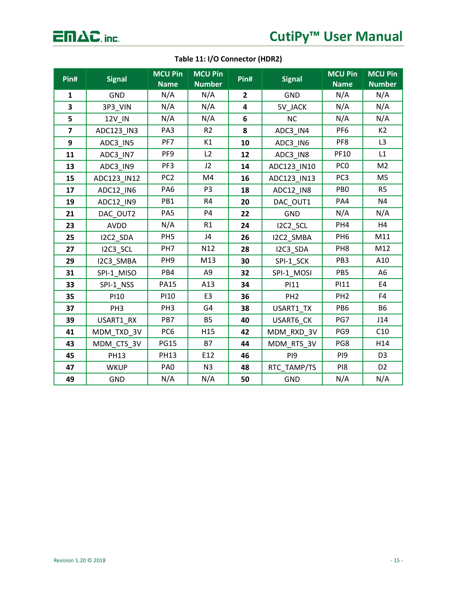$\overline{\Box} \Pi \Delta C$ , inc.

## **Table 11: I/O Connector (HDR2)**

| Pin#                    | <b>Signal</b>   | <b>MCU Pin</b><br><b>Name</b> | <b>MCU Pin</b><br><b>Number</b> | Pin#           | <b>Signal</b>   | <b>MCU Pin</b><br><b>Name</b> | <b>MCU Pin</b><br><b>Number</b> |
|-------------------------|-----------------|-------------------------------|---------------------------------|----------------|-----------------|-------------------------------|---------------------------------|
| 1                       | GND             | N/A                           | N/A                             | $\overline{2}$ | GND             | N/A                           | N/A                             |
| 3                       | 3P3_VIN         | N/A                           | N/A                             | 4              | 5V_JACK         | N/A                           | N/A                             |
| 5                       | 12V_IN          | N/A                           | N/A                             | 6              | <b>NC</b>       | N/A                           | N/A                             |
| $\overline{\mathbf{z}}$ | ADC123_IN3      | PA3                           | R <sub>2</sub>                  | 8              | ADC3_IN4        | PF <sub>6</sub>               | K <sub>2</sub>                  |
| 9                       | ADC3_IN5        | PF7                           | K1                              | 10             | ADC3_IN6        | PF8                           | L3                              |
| 11                      | ADC3_IN7        | PF <sub>9</sub>               | L2                              | 12             | ADC3 IN8        | <b>PF10</b>                   | L1                              |
| 13                      | ADC3_IN9        | PF3                           | J2                              | 14             | ADC123_IN10     | PC <sub>0</sub>               | M <sub>2</sub>                  |
| 15                      | ADC123_IN12     | PC <sub>2</sub>               | M4                              | 16             | ADC123_IN13     | PC <sub>3</sub>               | M <sub>5</sub>                  |
| 17                      | ADC12_IN6       | PA <sub>6</sub>               | P <sub>3</sub>                  | 18             | ADC12_IN8       | PB <sub>0</sub>               | R <sub>5</sub>                  |
| 19                      | ADC12_IN9       | PB1                           | R4                              | 20             | DAC OUT1        | PA4                           | N4                              |
| 21                      | DAC_OUT2        | PA5                           | <b>P4</b>                       | 22             | <b>GND</b>      | N/A                           | N/A                             |
| 23                      | <b>AVDD</b>     | N/A                           | R1                              | 24             | I2C2_SCL        | PH4                           | H4                              |
| 25                      | I2C2_SDA        | PH <sub>5</sub>               | J4                              | 26             | I2C2_SMBA       | PH <sub>6</sub>               | M11                             |
| 27                      | I2C3_SCL        | PH7                           | N12                             | 28             | I2C3_SDA        | PH <sub>8</sub>               | M12                             |
| 29                      | I2C3_SMBA       | PH <sub>9</sub>               | M13                             | 30             | SPI-1_SCK       | PB <sub>3</sub>               | A10                             |
| 31                      | SPI-1_MISO      | PB4                           | A9                              | 32             | SPI-1_MOSI      | PB5                           | A <sub>6</sub>                  |
| 33                      | SPI-1_NSS       | <b>PA15</b>                   | A13                             | 34             | PI11            | PI11                          | E4                              |
| 35                      | PI10            | <b>PI10</b>                   | E3                              | 36             | PH <sub>2</sub> | PH <sub>2</sub>               | F4                              |
| 37                      | PH <sub>3</sub> | PH <sub>3</sub>               | G4                              | 38             | USART1_TX       | PB <sub>6</sub>               | <b>B6</b>                       |
| 39                      | USART1_RX       | PB7                           | <b>B5</b>                       | 40             | USART6_CK       | PG7                           | J14                             |
| 41                      | MDM_TXD_3V      | PC <sub>6</sub>               | H15                             | 42             | MDM_RXD_3V      | PG9                           | C10                             |
| 43                      | MDM_CTS_3V      | <b>PG15</b>                   | <b>B7</b>                       | 44             | MDM_RTS_3V      | PG8                           | H14                             |
| 45                      | <b>PH13</b>     | <b>PH13</b>                   | E12                             | 46             | PI9             | PI <sub>9</sub>               | D <sub>3</sub>                  |
| 47                      | <b>WKUP</b>     | PA <sub>0</sub>               | N3                              | 48             | RTC_TAMP/TS     | PI8                           | D <sub>2</sub>                  |
| 49                      | <b>GND</b>      | N/A                           | N/A                             | 50             | GND             | N/A                           | N/A                             |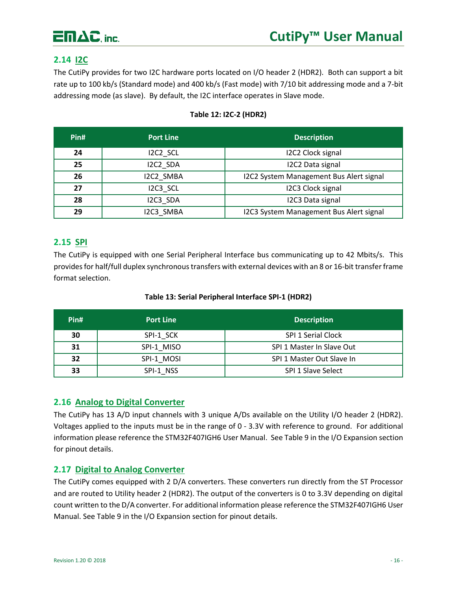

## <span id="page-16-0"></span>**2.14 I2C**

The CutiPy provides for two I2C hardware ports located on I/O header 2 (HDR2). Both can support a bit rate up to 100 kb/s (Standard mode) and 400 kb/s (Fast mode) with 7/10 bit addressing mode and a 7-bit addressing mode (as slave). By default, the I2C interface operates in Slave mode.

| Pin# | <b>Port Line</b> | <b>Description</b>                      |
|------|------------------|-----------------------------------------|
| 24   | I2C2 SCL         | <b>I2C2 Clock signal</b>                |
| 25   | I2C2 SDA         | I2C2 Data signal                        |
| 26   | I2C2 SMBA        | I2C2 System Management Bus Alert signal |
| 27   | I2C3 SCL         | <b>I2C3 Clock signal</b>                |
| 28   | I2C3 SDA         | I2C3 Data signal                        |
| 29   | I2C3 SMBA        | I2C3 System Management Bus Alert signal |

#### **Table 12: I2C-2 (HDR2)**

### <span id="page-16-1"></span>**2.15 SPI**

The CutiPy is equipped with one Serial Peripheral Interface bus communicating up to 42 Mbits/s. This provides for half/full duplex synchronous transfers with external devices with an 8 or 16-bit transfer frame format selection.

| Pin# | <b>Port Line</b> | <b>Description</b>        |
|------|------------------|---------------------------|
| 30   | SPI-1 SCK        | SPI 1 Serial Clock        |
| 31   | SPI-1 MISO       | SPI 1 Master In Slave Out |
| 32   | SPI-1 MOSI       | SPI 1 Master Out Slave In |
| 33   | SPI-1 NSS        | SPI 1 Slave Select        |

#### **Table 13: Serial Peripheral Interface SPI-1 (HDR2)**

### <span id="page-16-2"></span>**2.16 Analog to Digital Converter**

The CutiPy has 13 A/D input channels with 3 unique A/Ds available on the Utility I/O header 2 (HDR2). Voltages applied to the inputs must be in the range of 0 - 3.3V with reference to ground. For additional information please reference the STM32F407IGH6 User Manual. See Table 9 in the I/O Expansion section for pinout details.

#### <span id="page-16-3"></span>**2.17 Digital to Analog Converter**

The CutiPy comes equipped with 2 D/A converters. These converters run directly from the ST Processor and are routed to Utility header 2 (HDR2). The output of the converters is 0 to 3.3V depending on digital count written to the D/A converter. For additional information please reference the STM32F407IGH6 User Manual. See Table 9 in the I/O Expansion section for pinout details.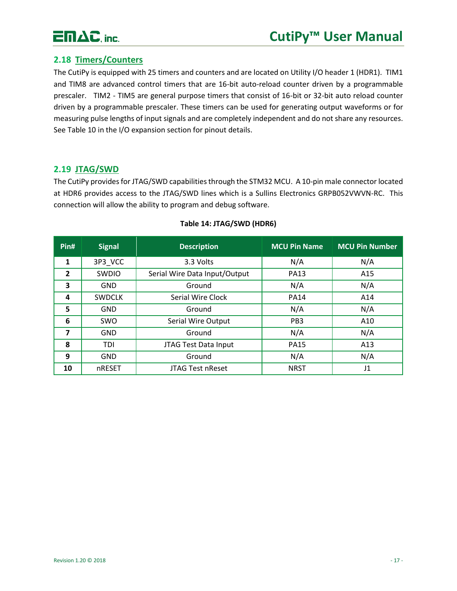

### <span id="page-17-0"></span>**2.18 Timers/Counters**

The CutiPy is equipped with 25 timers and counters and are located on Utility I/O header 1 (HDR1). TIM1 and TIM8 are advanced control timers that are 16-bit auto-reload counter driven by a programmable prescaler. TIM2 - TIM5 are general purpose timers that consist of 16-bit or 32-bit auto reload counter driven by a programmable prescaler. These timers can be used for generating output waveforms or for measuring pulse lengths of input signals and are completely independent and do not share any resources. See Table 10 in the I/O expansion section for pinout details.

#### <span id="page-17-1"></span>**2.19 JTAG/SWD**

The CutiPy provides for JTAG/SWD capabilities through the STM32 MCU. A 10-pin male connector located at HDR6 provides access to the JTAG/SWD lines which is a Sullins Electronics GRPB052VWVN-RC. This connection will allow the ability to program and debug software.

| Pin#           | <b>Signal</b> | <b>Description</b>            | <b>MCU Pin Name</b> | <b>MCU Pin Number</b> |
|----------------|---------------|-------------------------------|---------------------|-----------------------|
| 1              | 3P3 VCC       | 3.3 Volts                     | N/A                 | N/A                   |
| $\overline{2}$ | SWDIO         | Serial Wire Data Input/Output | <b>PA13</b>         | A15                   |
| 3              | <b>GND</b>    | Ground                        | N/A                 | N/A                   |
| 4              | <b>SWDCLK</b> | Serial Wire Clock             | <b>PA14</b>         | A14                   |
| 5              | <b>GND</b>    | Ground                        | N/A                 | N/A                   |
| 6              | <b>SWO</b>    | Serial Wire Output            | PB <sub>3</sub>     | A10                   |
| $\overline{7}$ | <b>GND</b>    | Ground                        | N/A                 | N/A                   |
| 8              | <b>TDI</b>    | JTAG Test Data Input          | <b>PA15</b>         | A13                   |
| 9              | <b>GND</b>    | Ground                        | N/A                 | N/A                   |
| 10             | nRESET        | <b>JTAG Test nReset</b>       | <b>NRST</b>         | J1                    |

#### **Table 14: JTAG/SWD (HDR6)**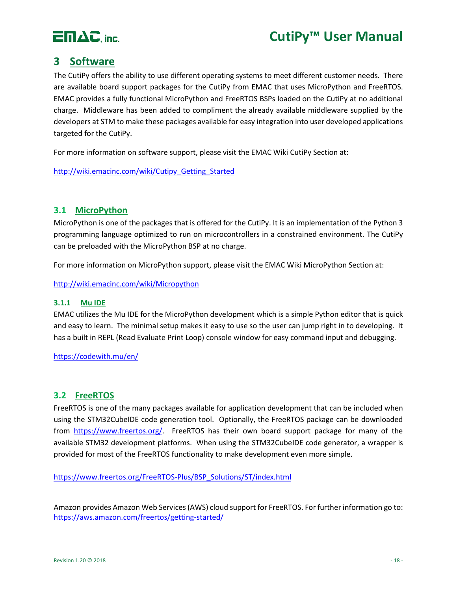

## <span id="page-18-0"></span>**3 Software**

The CutiPy offers the ability to use different operating systems to meet different customer needs. There are available board support packages for the CutiPy from EMAC that uses MicroPython and FreeRTOS. EMAC provides a fully functional MicroPython and FreeRTOS BSPs loaded on the CutiPy at no additional charge. Middleware has been added to compliment the already available middleware supplied by the developers at STM to make these packages available for easy integration into user developed applications targeted for the CutiPy.

For more information on software support, please visit the EMAC Wiki CutiPy Section at:

[http://wiki.emacinc.com/wiki/Cutipy\\_Getting\\_Started](http://wiki.emacinc.com/wiki/Cutipy_Getting_Started)

#### <span id="page-18-1"></span>**3.1 MicroPython**

MicroPython is one of the packages that is offered for the CutiPy. It is an implementation of the Python 3 programming language optimized to run on microcontrollers in a constrained environment. The CutiPy can be preloaded with the MicroPython BSP at no charge.

For more information on MicroPython support, please visit the EMAC Wiki MicroPython Section at:

<http://wiki.emacinc.com/wiki/Micropython>

#### <span id="page-18-2"></span>**3.1.1 Mu IDE**

EMAC utilizes the Mu IDE for the MicroPython development which is a simple Python editor that is quick and easy to learn. The minimal setup makes it easy to use so the user can jump right in to developing. It has a built in REPL (Read Evaluate Print Loop) console window for easy command input and debugging.

<https://codewith.mu/en/>

#### <span id="page-18-3"></span>**3.2 FreeRTOS**

FreeRTOS is one of the many packages available for application development that can be included when using the STM32CubeIDE code generation tool. Optionally, the FreeRTOS package can be downloaded from [https://www.freertos.org/.](https://www.freertos.org/) FreeRTOS has their own board support package for many of the available STM32 development platforms. When using the STM32CubeIDE code generator, a wrapper is provided for most of the FreeRTOS functionality to make development even more simple.

[https://www.freertos.org/FreeRTOS-Plus/BSP\\_Solutions/ST/index.html](https://www.freertos.org/FreeRTOS-Plus/BSP_Solutions/ST/index.html)

Amazon provides Amazon Web Services (AWS) cloud support for FreeRTOS. For further information go to: <https://aws.amazon.com/freertos/getting-started/>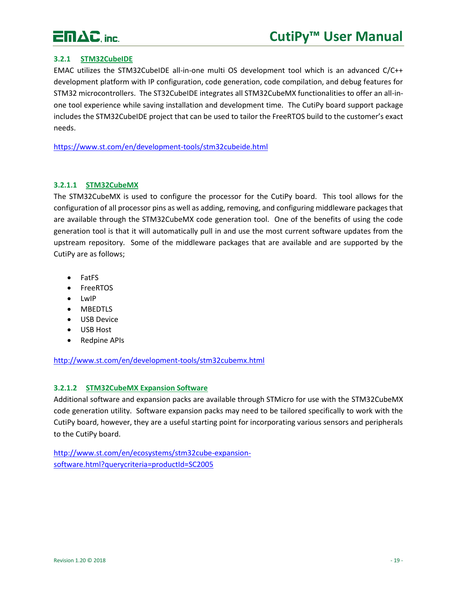

#### <span id="page-19-0"></span>**3.2.1 STM32CubeIDE**

EMAC utilizes the STM32CubeIDE all-in-one multi OS development tool which is an advanced C/C++ development platform with IP configuration, code generation, code compilation, and debug features for STM32 microcontrollers. The ST32CubeIDE integrates all STM32CubeMX functionalities to offer an all-inone tool experience while saving installation and development time. The CutiPy board support package includes the STM32CubeIDE project that can be used to tailor the FreeRTOS build to the customer's exact needs.

<https://www.st.com/en/development-tools/stm32cubeide.html>

#### **3.2.1.1 STM32CubeMX**

The STM32CubeMX is used to configure the processor for the CutiPy board. This tool allows for the configuration of all processor pins as well as adding, removing, and configuring middleware packages that are available through the STM32CubeMX code generation tool. One of the benefits of using the code generation tool is that it will automatically pull in and use the most current software updates from the upstream repository. Some of the middleware packages that are available and are supported by the CutiPy are as follows;

- FatFS
- FreeRTOS
- LwIP
- MBEDTLS
- USB Device
- USB Host
- Redpine APIs

<http://www.st.com/en/development-tools/stm32cubemx.html>

#### **3.2.1.2 STM32CubeMX Expansion Software**

Additional software and expansion packs are available through STMicro for use with the STM32CubeMX code generation utility. Software expansion packs may need to be tailored specifically to work with the CutiPy board, however, they are a useful starting point for incorporating various sensors and peripherals to the CutiPy board.

[http://www.st.com/en/ecosystems/stm32cube-expansion](http://www.st.com/en/ecosystems/stm32cube-expansion-software.html?querycriteria=productId=SC2005)[software.html?querycriteria=productId=SC2005](http://www.st.com/en/ecosystems/stm32cube-expansion-software.html?querycriteria=productId=SC2005)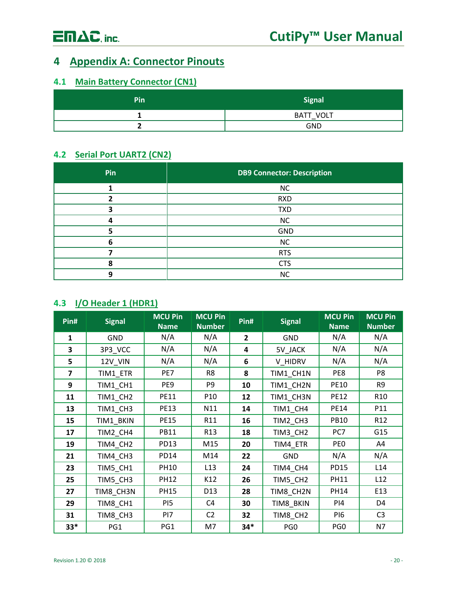## <span id="page-20-0"></span>**Appendix A: Connector Pinouts**

## <span id="page-20-1"></span>**4.1 Main Battery Connector (CN1)**

| Pin | <b>Signal</b>     |
|-----|-------------------|
|     | VOLT<br>BATT<br>– |
|     | <b>GND</b>        |

## <span id="page-20-2"></span>**4.2 Serial Port UART2 (CN2)**

| Pin | <b>DB9 Connector: Description</b> |
|-----|-----------------------------------|
|     | <b>NC</b>                         |
|     | <b>RXD</b>                        |
|     | <b>TXD</b>                        |
|     | NC                                |
|     | <b>GND</b>                        |
| n   | <b>NC</b>                         |
|     | <b>RTS</b>                        |
|     | <b>CTS</b>                        |
|     | <b>NC</b>                         |

## <span id="page-20-3"></span>**4.3 I/O Header 1 (HDR1)**

| Pin#           | <b>Signal</b> | <b>MCU Pin</b><br><b>Name</b> | <b>MCU Pin</b><br><b>Number</b> | Pin#           | <b>Signal</b>   | <b>MCU Pin</b><br><b>Name</b> | <b>MCU Pin</b><br><b>Number</b> |
|----------------|---------------|-------------------------------|---------------------------------|----------------|-----------------|-------------------------------|---------------------------------|
| $\mathbf{1}$   | <b>GND</b>    | N/A                           | N/A                             | $\overline{2}$ | <b>GND</b>      | N/A                           | N/A                             |
| 3              | 3P3_VCC       | N/A                           | N/A                             | 4              | 5V_JACK         | N/A                           | N/A                             |
| 5              | 12V VIN       | N/A                           | N/A                             | 6              | V HIDRV         | N/A                           | N/A                             |
| $\overline{ }$ | TIM1_ETR      | PE7                           | R <sub>8</sub>                  | 8              | TIM1_CH1N       | PE8                           | P8                              |
| 9              | TIM1_CH1      | PE9                           | P <sub>9</sub>                  | 10             | TIM1_CH2N       | <b>PE10</b>                   | R9                              |
| 11             | TIM1_CH2      | <b>PE11</b>                   | P <sub>10</sub>                 | 12             | TIM1_CH3N       | <b>PE12</b>                   | R <sub>10</sub>                 |
| 13             | TIM1 CH3      | <b>PE13</b>                   | N11                             | 14             | TIM1_CH4        | <b>PE14</b>                   | P11                             |
| 15             | TIM1_BKIN     | <b>PE15</b>                   | R11                             | 16             | TIM2_CH3        | <b>PB10</b>                   | R <sub>12</sub>                 |
| 17             | TIM2_CH4      | <b>PB11</b>                   | R <sub>13</sub>                 | 18             | TIM3_CH2        | PC7                           | G15                             |
| 19             | TIM4_CH2      | PD13                          | M15                             | 20             | TIM4 ETR        | PE <sub>0</sub>               | A4                              |
| 21             | TIM4_CH3      | <b>PD14</b>                   | M14                             | 22             | <b>GND</b>      | N/A                           | N/A                             |
| 23             | TIM5_CH1      | <b>PH10</b>                   | L13                             | 24             | TIM4_CH4        | <b>PD15</b>                   | L14                             |
| 25             | TIM5_CH3      | <b>PH12</b>                   | K12                             | 26             | TIM5_CH2        | <b>PH11</b>                   | L12                             |
| 27             | TIM8_CH3N     | PH15                          | D13                             | 28             | TIM8_CH2N       | <b>PH14</b>                   | E13                             |
| 29             | TIM8_CH1      | PI5                           | C <sub>4</sub>                  | 30             | TIM8_BKIN       | PI4                           | D4                              |
| 31             | TIM8_CH3      | PI7                           | C <sub>2</sub>                  | 32             | TIM8_CH2        | PI6                           | C <sub>3</sub>                  |
| $33*$          | PG1           | PG1                           | M7                              | $34*$          | PG <sub>0</sub> | PG <sub>0</sub>               | N7                              |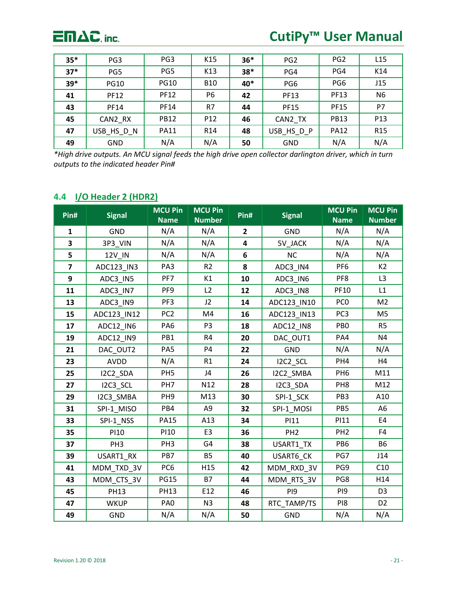

# **CutiPy™ User Manual**

| $35*$ | PG <sub>3</sub> | PG <sub>3</sub> | K15             | $36*$ | PG <sub>2</sub> | PG <sub>2</sub> | L15             |
|-------|-----------------|-----------------|-----------------|-------|-----------------|-----------------|-----------------|
| $37*$ | PG5             | PG5             | K13             | $38*$ | PG4             | PG4             | K14             |
| $39*$ | <b>PG10</b>     | <b>PG10</b>     | <b>B10</b>      | 40*   | PG <sub>6</sub> | PG <sub>6</sub> | J15             |
| 41    | <b>PF12</b>     | <b>PF12</b>     | P <sub>6</sub>  | 42    | <b>PF13</b>     | <b>PF13</b>     | N <sub>6</sub>  |
| 43    | <b>PF14</b>     | <b>PF14</b>     | R7              | 44    | <b>PF15</b>     | <b>PF15</b>     | P7              |
| 45    | CAN2 RX         | <b>PB12</b>     | P <sub>12</sub> | 46    | CAN2 TX         | <b>PB13</b>     | P <sub>13</sub> |
| 47    | USB HS D N      | <b>PA11</b>     | R <sub>14</sub> | 48    | USB HS D P      | <b>PA12</b>     | R <sub>15</sub> |
| 49    | <b>GND</b>      | N/A             | N/A             | 50    | <b>GND</b>      | N/A             | N/A             |

*\*High drive outputs. An MCU signal feeds the high drive open collector darlington driver, which in turn outputs to the indicated header Pin#*

## <span id="page-21-0"></span>**4.4 I/O Header 2 (HDR2)**

| Pin#           | <b>Signal</b>   | <b>MCU Pin</b><br><b>Name</b> | <b>MCU Pin</b><br><b>Number</b> | Pin#                    | <b>Signal</b>   | <b>MCU Pin</b><br><b>Name</b> | <b>MCU Pin</b><br><b>Number</b> |
|----------------|-----------------|-------------------------------|---------------------------------|-------------------------|-----------------|-------------------------------|---------------------------------|
| $\mathbf{1}$   | <b>GND</b>      | N/A                           | N/A                             | $\overline{2}$          | <b>GND</b>      | N/A                           | N/A                             |
| 3              | 3P3_VIN         | N/A                           | N/A                             | $\overline{\mathbf{4}}$ | 5V_JACK         | N/A                           | N/A                             |
| 5              | 12V_IN          | N/A                           | N/A                             | 6                       | <b>NC</b>       | N/A                           | N/A                             |
| $\overline{7}$ | ADC123_IN3      | PA3                           | R <sub>2</sub>                  | 8                       | ADC3_IN4        | PF <sub>6</sub>               | K2                              |
| 9              | ADC3_IN5        | PF7                           | K1                              | 10                      | ADC3_IN6        | PF8                           | L3                              |
| 11             | ADC3_IN7        | PF9                           | L2                              | 12                      | ADC3_IN8        | PF10                          | L1                              |
| 13             | ADC3_IN9        | PF3                           | J2                              | 14                      | ADC123_IN10     | PC <sub>0</sub>               | M <sub>2</sub>                  |
| 15             | ADC123_IN12     | PC <sub>2</sub>               | M4                              | 16                      | ADC123_IN13     | PC <sub>3</sub>               | M <sub>5</sub>                  |
| 17             | ADC12_IN6       | PA <sub>6</sub>               | P <sub>3</sub>                  | 18                      | ADC12_IN8       | PB <sub>0</sub>               | R <sub>5</sub>                  |
| 19             | ADC12_IN9       | PB1                           | R4                              | 20                      | DAC_OUT1        | PA4                           | N4                              |
| 21             | DAC_OUT2        | PA <sub>5</sub>               | P <sub>4</sub>                  | 22                      | <b>GND</b>      | N/A                           | N/A                             |
| 23             | <b>AVDD</b>     | N/A                           | R1                              | 24                      | I2C2_SCL        | PH4                           | H4                              |
| 25             | I2C2_SDA        | PH <sub>5</sub>               | J4                              | 26                      | I2C2_SMBA       | PH <sub>6</sub>               | M11                             |
| 27             | I2C3_SCL        | PH7                           | N12                             | 28                      | I2C3_SDA        | PH <sub>8</sub>               | M12                             |
| 29             | I2C3_SMBA       | PH <sub>9</sub>               | M13                             | 30                      | SPI-1_SCK       | PB <sub>3</sub>               | A10                             |
| 31             | SPI-1_MISO      | PB4                           | A9                              | 32                      | SPI-1_MOSI      | PB5                           | A <sub>6</sub>                  |
| 33             | SPI-1_NSS       | <b>PA15</b>                   | A13                             | 34                      | <b>PI11</b>     | PI11                          | E4                              |
| 35             | <b>PI10</b>     | <b>PI10</b>                   | E <sub>3</sub>                  | 36                      | PH <sub>2</sub> | PH <sub>2</sub>               | F4                              |
| 37             | PH <sub>3</sub> | PH <sub>3</sub>               | G4                              | 38                      | USART1_TX       | PB <sub>6</sub>               | <b>B6</b>                       |
| 39             | USART1 RX       | PB7                           | <b>B5</b>                       | 40                      | USART6_CK       | PG7                           | J14                             |
| 41             | MDM_TXD_3V      | PC <sub>6</sub>               | H15                             | 42                      | MDM_RXD_3V      | PG9                           | C10                             |
| 43             | MDM_CTS_3V      | <b>PG15</b>                   | <b>B7</b>                       | 44                      | MDM_RTS_3V      | PG8                           | H14                             |
| 45             | <b>PH13</b>     | <b>PH13</b>                   | E12                             | 46                      | PI <sub>9</sub> | PI9                           | D <sub>3</sub>                  |
| 47             | <b>WKUP</b>     | PA <sub>0</sub>               | N3                              | 48                      | RTC_TAMP/TS     | PI8                           | D <sub>2</sub>                  |
| 49             | <b>GND</b>      | N/A                           | N/A                             | 50                      | GND             | N/A                           | N/A                             |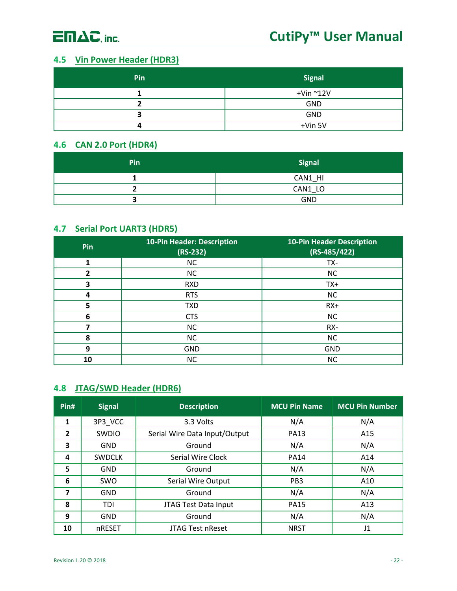

## <span id="page-22-0"></span>**4.5 Vin Power Header (HDR3)**

| Pin | <b>Signal</b>         |
|-----|-----------------------|
|     | $+$ Vin $^{\sim}$ 12V |
|     | <b>GND</b>            |
|     | GND                   |
|     | +Vin 5V               |

## <span id="page-22-1"></span>**4.6 CAN 2.0 Port (HDR4)**

| Pin | <b>Signal</b> |
|-----|---------------|
|     | CAN1 HI       |
|     | CAN1 LO       |
|     | <b>GND</b>    |

### <span id="page-22-2"></span>**4.7 Serial Port UART3 (HDR5)**

| Pin | <b>10-Pin Header: Description</b><br>$(RS-232)$ | <b>10-Pin Header Description</b><br>$(RS-485/422)$ |
|-----|-------------------------------------------------|----------------------------------------------------|
| 1   | <b>NC</b>                                       | TX-                                                |
| 2   | <b>NC</b>                                       | <b>NC</b>                                          |
| 3   | <b>RXD</b>                                      | TX+                                                |
| 4   | <b>RTS</b>                                      | <b>NC</b>                                          |
|     | <b>TXD</b>                                      | $RX+$                                              |
| 6   | <b>CTS</b>                                      | <b>NC</b>                                          |
|     | <b>NC</b>                                       | RX-                                                |
| 8   | <b>NC</b>                                       | <b>NC</b>                                          |
| 9   | <b>GND</b>                                      | <b>GND</b>                                         |
| 10  | <b>NC</b>                                       | <b>NC</b>                                          |

## <span id="page-22-3"></span>**4.8 JTAG/SWD Header (HDR6)**

| Pin#                    | <b>Signal</b> | <b>Description</b>            | <b>MCU Pin Name</b> | <b>MCU Pin Number</b> |
|-------------------------|---------------|-------------------------------|---------------------|-----------------------|
| 1                       | 3P3 VCC       | 3.3 Volts                     | N/A                 | N/A                   |
| $\overline{2}$          | <b>SWDIO</b>  | Serial Wire Data Input/Output | <b>PA13</b>         | A15                   |
| 3                       | <b>GND</b>    | Ground                        | N/A                 | N/A                   |
| 4                       | <b>SWDCLK</b> | Serial Wire Clock             | <b>PA14</b>         | A14                   |
| 5                       | <b>GND</b>    | Ground                        | N/A                 | N/A                   |
| 6                       | <b>SWO</b>    | <b>Serial Wire Output</b>     | PB <sub>3</sub>     | A10                   |
| $\overline{\mathbf{z}}$ | <b>GND</b>    | Ground                        | N/A                 | N/A                   |
| 8                       | <b>TDI</b>    | JTAG Test Data Input          | <b>PA15</b>         | A13                   |
| 9                       | <b>GND</b>    | Ground                        | N/A                 | N/A                   |
| 10                      | nRESET        | <b>JTAG Test nReset</b>       | <b>NRST</b>         | J1                    |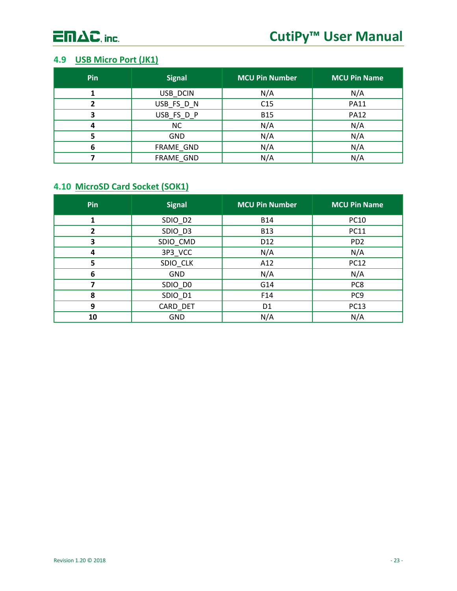

## <span id="page-23-0"></span>**4.9 USB Micro Port (JK1)**

| Pin | <b>Signal</b> | <b>MCU Pin Number</b> | <b>MCU Pin Name</b> |
|-----|---------------|-----------------------|---------------------|
|     | USB_DCIN      | N/A                   | N/A                 |
|     | USB_FS_D_N    | C15                   | <b>PA11</b>         |
| 3   | USB_FS_D_P    | <b>B15</b>            | <b>PA12</b>         |
| 4   | <b>NC</b>     | N/A                   | N/A                 |
|     | <b>GND</b>    | N/A                   | N/A                 |
| 6   | FRAME GND     | N/A                   | N/A                 |
|     | FRAME_GND     | N/A                   | N/A                 |

## <span id="page-23-1"></span>**4.10 MicroSD Card Socket (SOK1)**

| Pin | <b>Signal</b> | <b>MCU Pin Number</b> | <b>MCU Pin Name</b> |
|-----|---------------|-----------------------|---------------------|
| 1   | SDIO_D2       | <b>B14</b>            | <b>PC10</b>         |
| 2   | SDIO_D3       | <b>B13</b>            | <b>PC11</b>         |
| 3   | SDIO_CMD      | D12                   | PD <sub>2</sub>     |
| 4   | 3P3_VCC       | N/A                   | N/A                 |
| 5   | SDIO_CLK      | A12                   | <b>PC12</b>         |
| 6   | <b>GND</b>    | N/A                   | N/A                 |
|     | SDIO_DO       | G14                   | PC8                 |
| 8   | SDIO_D1       | F14                   | PC <sub>9</sub>     |
| 9   | CARD_DET      | D <sub>1</sub>        | <b>PC13</b>         |
| 10  | <b>GND</b>    | N/A                   | N/A                 |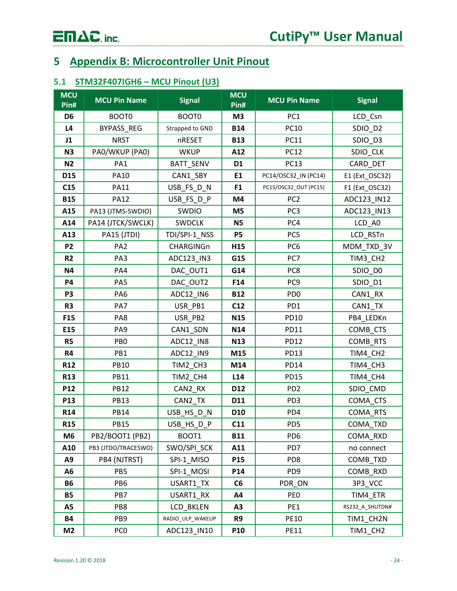# $\overline{\mathsf{E}} \mathsf{\Pi} \Delta \mathsf{C}$ , inc.

## <span id="page-24-0"></span>**5 Appendix B: Microcontroller Unit Pinout**

## <span id="page-24-1"></span>**5.1 STM32F407IGH6 – MCU Pinout (U3)**

| <b>MCU</b><br>Pin# | <b>MCU Pin Name</b> | <b>Signal</b>    | <b>MCU</b><br>Pin# | <b>MCU Pin Name</b>   | <b>Signal</b>   |
|--------------------|---------------------|------------------|--------------------|-----------------------|-----------------|
| D <sub>6</sub>     | BOOT0               | BOOT0            | M <sub>3</sub>     | PC <sub>1</sub>       | LCD Csn         |
| L4                 | BYPASS_REG          | Strapped to GND  | <b>B14</b>         | <b>PC10</b>           | SDIO_D2         |
| J1                 | <b>NRST</b>         | nRESET           | <b>B13</b>         | <b>PC11</b>           | SDIO_D3         |
| N <sub>3</sub>     | PA0/WKUP (PA0)      | <b>WKUP</b>      | A12                | <b>PC12</b>           | SDIO_CLK        |
| <b>N2</b>          | PA1                 | BATT_SENV        | D <sub>1</sub>     | <b>PC13</b>           | CARD_DET        |
| D15                | <b>PA10</b>         | CAN1_SBY         | E1                 | PC14/OSC32_IN (PC14)  | E1 (Ext_OSC32)  |
| C15                | <b>PA11</b>         | USB_FS_D_N       | F <sub>1</sub>     | PC15/OSC32_OUT (PC15) | F1 (Ext_OSC32)  |
| <b>B15</b>         | <b>PA12</b>         | USB_FS_D_P       | M4                 | PC <sub>2</sub>       | ADC123_IN12     |
| A15                | PA13 (JTMS-SWDIO)   | SWDIO            | M <sub>5</sub>     | PC <sub>3</sub>       | ADC123_IN13     |
| A14                | PA14 (JTCK/SWCLK)   | <b>SWDCLK</b>    | <b>N5</b>          | PC4                   | LCD_A0          |
| A13                | PA15 (JTDI)         | TDI/SPI-1_NSS    | <b>P5</b>          | PC5                   | LCD_RSTn        |
| P <sub>2</sub>     | PA <sub>2</sub>     | CHARGINGn        | H <sub>15</sub>    | PC <sub>6</sub>       | MDM_TXD_3V      |
| R <sub>2</sub>     | PA3                 | ADC123_IN3       | G15                | PC7                   | TIM3_CH2        |
| <b>N4</b>          | PA4                 | DAC_OUT1         | G14                | PC8                   | SDIO_DO         |
| P4                 | PA <sub>5</sub>     | DAC_OUT2         | F14                | PC <sub>9</sub>       | SDIO_D1         |
| P <sub>3</sub>     | PA <sub>6</sub>     | ADC12_IN6        | <b>B12</b>         | PD <sub>0</sub>       | CAN1 RX         |
| R <sub>3</sub>     | PA7                 | USR_PB1          | C12                | PD <sub>1</sub>       | CAN1_TX         |
| F <sub>15</sub>    | PA8                 | USR_PB2          | <b>N15</b>         | <b>PD10</b>           | PB4_LEDKn       |
| E15                | PA <sub>9</sub>     | CAN1_SDN         | N14                | <b>PD11</b>           | COMB_CTS        |
| R <sub>5</sub>     | PB <sub>0</sub>     | ADC12_IN8        | N13                | <b>PD12</b>           | COMB_RTS        |
| <b>R4</b>          | PB1                 | ADC12_IN9        | M15                | <b>PD13</b>           | TIM4_CH2        |
| R <sub>12</sub>    | <b>PB10</b>         | TIM2_CH3         | M14                | <b>PD14</b>           | TIM4_CH3        |
| <b>R13</b>         | <b>PB11</b>         | TIM2_CH4         | L <sub>14</sub>    | <b>PD15</b>           | TIM4_CH4        |
| P12                | <b>PB12</b>         | CAN2_RX          | D <sub>12</sub>    | PD <sub>2</sub>       | SDIO_CMD        |
| P13                | <b>PB13</b>         | CAN2 TX          | D11                | PD <sub>3</sub>       | COMA CTS        |
| R <sub>14</sub>    | <b>PB14</b>         | USB_HS_D_N       | D <sub>10</sub>    | PD4                   | COMA_RTS        |
| <b>R15</b>         | <b>PB15</b>         | USB_HS_D_P       | C11                | PD5                   | COMA_TXD        |
| M6                 | PB2/BOOT1 (PB2)     | BOOT1            | <b>B11</b>         | PD <sub>6</sub>       | COMA RXD        |
| A10                | PB3 (JTDO/TRACESWO) | SWO/SPI_SCK      | A11                | PD7                   | no connect      |
| A9                 | PB4 (NJTRST)        | SPI-1_MISO       | P15                | PD <sub>8</sub>       | COMB_TXD        |
| A6                 | PB5                 | SPI-1_MOSI       | P14                | PD <sub>9</sub>       | COMB_RXD        |
| <b>B6</b>          | PB <sub>6</sub>     | USART1_TX        | C6                 | PDR_ON                | 3P3_VCC         |
| <b>B5</b>          | PB7                 | USART1_RX        | A4                 | PE <sub>0</sub>       | TIM4_ETR        |
| A5                 | PB8                 | LCD_BKLEN        | A3                 | PE1                   | RS232_A_SHUTDN# |
| <b>B4</b>          | PB <sub>9</sub>     | RADIO_ULP_WAKEUP | R9                 | <b>PE10</b>           | TIM1_CH2N       |
| M <sub>2</sub>     | PC <sub>0</sub>     | ADC123 IN10      | P10                | <b>PE11</b>           | TIM1_CH2        |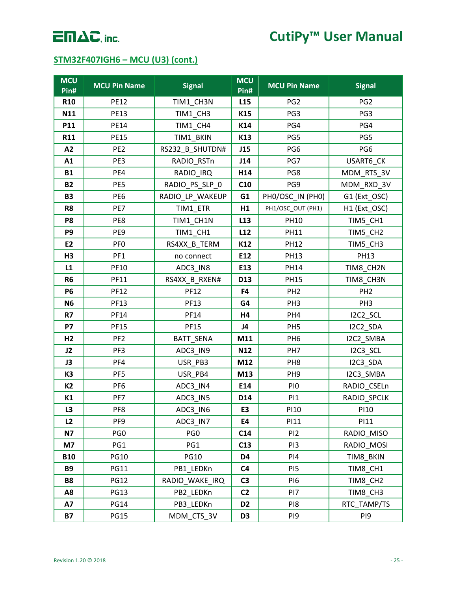## **STM32F407IGH6 – MCU (U3) (cont.)**

| <b>MCU</b><br>Pin# | <b>MCU Pin Name</b> | <b>Signal</b>   | <b>MCU</b><br>Pin# | <b>MCU Pin Name</b> | <b>Signal</b>   |
|--------------------|---------------------|-----------------|--------------------|---------------------|-----------------|
| <b>R10</b>         | <b>PE12</b>         | TIM1_CH3N       | L <sub>15</sub>    | PG <sub>2</sub>     | PG <sub>2</sub> |
| N11                | <b>PE13</b>         | TIM1_CH3        | K15                | PG3                 | PG3             |
| P11                | <b>PE14</b>         | TIM1_CH4        | K14                | PG4                 | PG4             |
| R11                | <b>PE15</b>         | TIM1_BKIN       | K13                | PG5                 | PG5             |
| A2                 | PE <sub>2</sub>     | RS232_B_SHUTDN# | J15                | PG6                 | PG6             |
| A1                 | PE3                 | RADIO_RSTn      | J14                | PG7                 | USART6_CK       |
| <b>B1</b>          | PE4                 | RADIO_IRQ       | H14                | PG8                 | MDM_RTS_3V      |
| <b>B2</b>          | PE5                 | RADIO PS SLP 0  | C10                | PG9                 | MDM_RXD_3V      |
| <b>B3</b>          | PE <sub>6</sub>     | RADIO_LP_WAKEUP | G1                 | PHO/OSC_IN (PHO)    | G1 (Ext_OSC)    |
| R <sub>8</sub>     | PE7                 | TIM1_ETR        | H1                 | PH1/OSC_OUT (PH1)   | H1 (Ext_OSC)    |
| P <sub>8</sub>     | PE8                 | TIM1_CH1N       | L <sub>13</sub>    | <b>PH10</b>         | TIM5_CH1        |
| P9                 | PE9                 | TIM1_CH1        | L <sub>12</sub>    | <b>PH11</b>         | TIM5_CH2        |
| E2                 | PF <sub>0</sub>     | RS4XX B TERM    | K12                | <b>PH12</b>         | TIM5_CH3        |
| H <sub>3</sub>     | PF1                 | no connect      | E12                | <b>PH13</b>         | <b>PH13</b>     |
| L1                 | PF10                | ADC3_IN8        | E13                | <b>PH14</b>         | TIM8_CH2N       |
| R <sub>6</sub>     | PF11                | RS4XX B RXEN#   | D13                | <b>PH15</b>         | TIM8_CH3N       |
| <b>P6</b>          | <b>PF12</b>         | <b>PF12</b>     | F4                 | PH <sub>2</sub>     | PH <sub>2</sub> |
| N <sub>6</sub>     | <b>PF13</b>         | <b>PF13</b>     | G4                 | PH <sub>3</sub>     | PH <sub>3</sub> |
| R7                 | PF14                | PF14            | H4                 | PH4                 | I2C2_SCL        |
| <b>P7</b>          | <b>PF15</b>         | <b>PF15</b>     | J4                 | PH <sub>5</sub>     | I2C2_SDA        |
| H <sub>2</sub>     | PF <sub>2</sub>     | BATT_SENA       | M11                | PH <sub>6</sub>     | I2C2_SMBA       |
| J2                 | PF3                 | ADC3_IN9        | N12                | PH <sub>7</sub>     | I2C3_SCL        |
| J3                 | PF4                 | USR_PB3         | M12                | PH <sub>8</sub>     | I2C3_SDA        |
| K <sub>3</sub>     | PF <sub>5</sub>     | USR_PB4         | M13                | PH <sub>9</sub>     | I2C3_SMBA       |
| K <sub>2</sub>     | PF <sub>6</sub>     | ADC3_IN4        | E14                | PI <sub>0</sub>     | RADIO_CSELn     |
| K1                 | PF7                 | ADC3_IN5        | D14                | PI1                 | RADIO_SPCLK     |
| L3                 | PF8                 | ADC3_IN6        | E3                 | PI10                | <b>PI10</b>     |
| L2                 | PF9                 | ADC3_IN7        | E4                 | PI11                | PI11            |
| <b>N7</b>          | PG <sub>0</sub>     | PG <sub>0</sub> | C14                | P <sub>12</sub>     | RADIO_MISO      |
| M7                 | PG1                 | PG1             | C13                | PI3                 | RADIO_MOSI      |
| <b>B10</b>         | <b>PG10</b>         | <b>PG10</b>     | D4                 | PI4                 | TIM8_BKIN       |
| <b>B9</b>          | <b>PG11</b>         | PB1_LEDKn       | C <sub>4</sub>     | PI <sub>5</sub>     | TIM8_CH1        |
| <b>B8</b>          | <b>PG12</b>         | RADIO WAKE IRQ  | C <sub>3</sub>     | PI6                 | TIM8_CH2        |
| A8                 | <b>PG13</b>         | PB2 LEDKn       | C <sub>2</sub>     | PI7                 | TIM8_CH3        |
| <b>A7</b>          | <b>PG14</b>         | PB3_LEDKn       | D <sub>2</sub>     | PI8                 | RTC_TAMP/TS     |
| <b>B7</b>          | <b>PG15</b>         | MDM_CTS_3V      | D3                 | PI9                 | PI9             |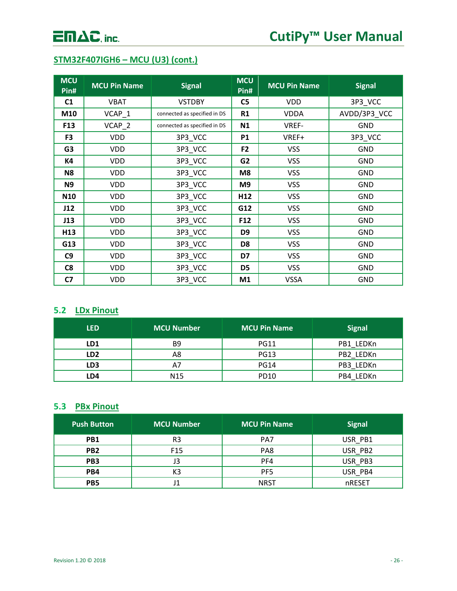## **STM32F407IGH6 – MCU (U3) (cont.)**

| <b>MCU</b><br>Pin# | <b>MCU Pin Name</b> | <b>Signal</b>                | <b>MCU</b><br>Pin# | <b>MCU Pin Name</b> | <b>Signal</b> |
|--------------------|---------------------|------------------------------|--------------------|---------------------|---------------|
| C <sub>1</sub>     | <b>VBAT</b>         | <b>VSTDBY</b>                | C <sub>5</sub>     | <b>VDD</b>          | 3P3_VCC       |
| M10                | VCAP_1              | connected as specified in DS | R1                 | <b>VDDA</b>         | AVDD/3P3 VCC  |
| F13                | VCAP_2              | connected as specified in DS | N1                 | VREF-               | <b>GND</b>    |
| F <sub>3</sub>     | <b>VDD</b>          | 3P3_VCC                      | <b>P1</b>          | VREF+               | 3P3_VCC       |
| G <sub>3</sub>     | <b>VDD</b>          | 3P3_VCC                      | F <sub>2</sub>     | <b>VSS</b>          | <b>GND</b>    |
| <b>K4</b>          | <b>VDD</b>          | 3P3_VCC                      | G <sub>2</sub>     | <b>VSS</b>          | <b>GND</b>    |
| N <sub>8</sub>     | <b>VDD</b>          | 3P3_VCC                      | M8                 | <b>VSS</b>          | <b>GND</b>    |
| N <sub>9</sub>     | <b>VDD</b>          | 3P3_VCC                      | M9                 | <b>VSS</b>          | <b>GND</b>    |
| <b>N10</b>         | <b>VDD</b>          | 3P3_VCC                      | H <sub>12</sub>    | <b>VSS</b>          | <b>GND</b>    |
| J12                | <b>VDD</b>          | 3P3_VCC                      | G12                | <b>VSS</b>          | <b>GND</b>    |
| J13                | <b>VDD</b>          | 3P3_VCC                      | F <sub>12</sub>    | <b>VSS</b>          | <b>GND</b>    |
| H13                | <b>VDD</b>          | 3P3_VCC                      | D <sub>9</sub>     | <b>VSS</b>          | GND           |
| G13                | <b>VDD</b>          | 3P3_VCC                      | D <sub>8</sub>     | <b>VSS</b>          | <b>GND</b>    |
| C9                 | <b>VDD</b>          | 3P3_VCC                      | D7                 | <b>VSS</b>          | <b>GND</b>    |
| C8                 | <b>VDD</b>          | 3P3_VCC                      | D <sub>5</sub>     | <b>VSS</b>          | GND           |
| C <sub>7</sub>     | <b>VDD</b>          | 3P3_VCC                      | M1                 | <b>VSSA</b>         | <b>GND</b>    |

## <span id="page-26-0"></span>**5.2 LDx Pinout**

| <b>LED</b> | <b>MCU Number</b> | <b>MCU Pin Name</b> | <b>Signal</b> |
|------------|-------------------|---------------------|---------------|
| LD1        | B <sub>9</sub>    | <b>PG11</b>         | PB1 LEDKn     |
| LD2        | Α8                | <b>PG13</b>         | PB2 LEDKn     |
| LD3        | A7                | <b>PG14</b>         | PB3 LEDKn     |
| LD4        | N <sub>15</sub>   | PD10                | PB4 LEDKn     |

## <span id="page-26-1"></span>**5.3 PBx Pinout**

| <b>Push Button</b> | <b>MCU Number</b> | <b>MCU Pin Name</b> | <b>Signal</b> |
|--------------------|-------------------|---------------------|---------------|
| PB1                | R <sub>3</sub>    | PA7                 | USR PB1       |
| PB <sub>2</sub>    | F <sub>15</sub>   | PA8                 | USR PB2       |
| PB <sub>3</sub>    | JЗ                | PF4                 | USR PB3       |
| PB4                | K3                | PF <sub>5</sub>     | USR PB4       |
| PB <sub>5</sub>    | J1                | <b>NRST</b>         | nRESET        |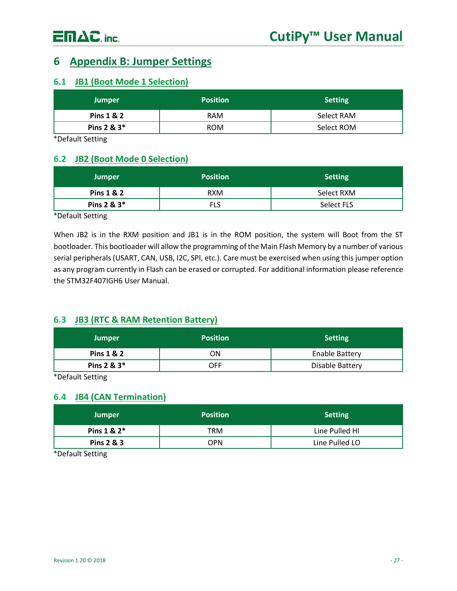## <span id="page-27-0"></span>**6 Appendix B: Jumper Settings**

### <span id="page-27-1"></span>**6.1 JB1 (Boot Mode 1 Selection)**

| <b>Jumper</b> | <b>Position</b> | Setting    |
|---------------|-----------------|------------|
| Pins 1 & 2    | <b>RAM</b>      | Select RAM |
| Pins $2 & 3*$ | <b>ROM</b>      | Select ROM |

\*Default Setting

## <span id="page-27-2"></span>**6.2 JB2 (Boot Mode 0 Selection)**

| <b>Jumper</b>         | <b>Position</b> | <b>Setting</b> |
|-----------------------|-----------------|----------------|
| <b>Pins 1 &amp; 2</b> | <b>RXM</b>      | Select RXM     |
| Pins 2 & 3*           | FLS             | Select FLS     |

\*Default Setting

When JB2 is in the RXM position and JB1 is in the ROM position, the system will Boot from the ST bootloader. This bootloader will allow the programming of the Main Flash Memory by a number of various serial peripherals (USART, CAN, USB, I2C, SPI, etc.). Care must be exercised when using this jumper option as any program currently in Flash can be erased or corrupted. For additional information please reference the STM32F407IGH6 User Manual.

## <span id="page-27-3"></span>**6.3 JB3 (RTC & RAM Retention Battery)**

| <b>Jumper</b> | <b>Position</b> | <b>Setting</b>        |
|---------------|-----------------|-----------------------|
| Pins 1 & 2    | ΟN              | <b>Enable Battery</b> |
| Pins 2 & 3*   | OFF             | Disable Battery       |

\*Default Setting

## <span id="page-27-4"></span>**6.4 JB4 (CAN Termination)**

| <b>Jumper</b>  | <b>Position</b> | <b>Setting</b> |
|----------------|-----------------|----------------|
| Pins $1 & 2^*$ | TRM             | Line Pulled HI |
| Pins 2 & 3     | OPN             | Line Pulled LO |

\*Default Setting